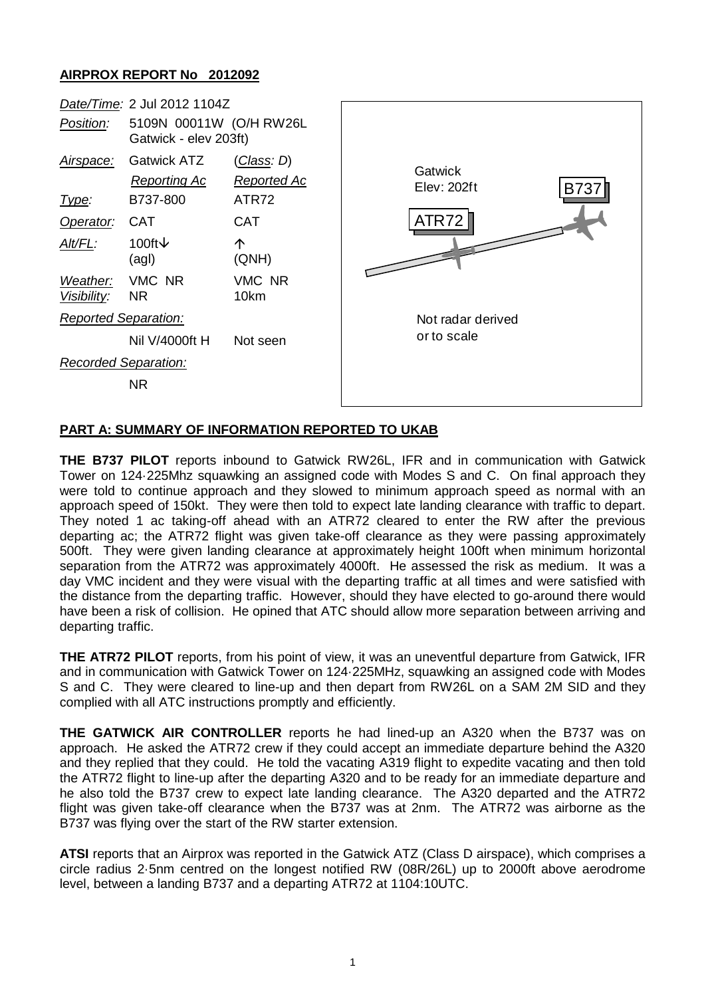## **AIRPROX REPORT No 2012092**



## **PART A: SUMMARY OF INFORMATION REPORTED TO UKAB**

**THE B737 PILOT** reports inbound to Gatwick RW26L, IFR and in communication with Gatwick Tower on 124·225Mhz squawking an assigned code with Modes S and C. On final approach they were told to continue approach and they slowed to minimum approach speed as normal with an approach speed of 150kt. They were then told to expect late landing clearance with traffic to depart. They noted 1 ac taking-off ahead with an ATR72 cleared to enter the RW after the previous departing ac; the ATR72 flight was given take-off clearance as they were passing approximately 500ft. They were given landing clearance at approximately height 100ft when minimum horizontal separation from the ATR72 was approximately 4000ft. He assessed the risk as medium. It was a day VMC incident and they were visual with the departing traffic at all times and were satisfied with the distance from the departing traffic. However, should they have elected to go-around there would have been a risk of collision. He opined that ATC should allow more separation between arriving and departing traffic.

**THE ATR72 PILOT** reports, from his point of view, it was an uneventful departure from Gatwick, IFR and in communication with Gatwick Tower on 124·225MHz, squawking an assigned code with Modes S and C. They were cleared to line-up and then depart from RW26L on a SAM 2M SID and they complied with all ATC instructions promptly and efficiently.

**THE GATWICK AIR CONTROLLER** reports he had lined-up an A320 when the B737 was on approach. He asked the ATR72 crew if they could accept an immediate departure behind the A320 and they replied that they could. He told the vacating A319 flight to expedite vacating and then told the ATR72 flight to line-up after the departing A320 and to be ready for an immediate departure and he also told the B737 crew to expect late landing clearance. The A320 departed and the ATR72 flight was given take-off clearance when the B737 was at 2nm. The ATR72 was airborne as the B737 was flying over the start of the RW starter extension.

**ATSI** reports that an Airprox was reported in the Gatwick ATZ (Class D airspace), which comprises a circle radius 2·5nm centred on the longest notified RW (08R/26L) up to 2000ft above aerodrome level, between a landing B737 and a departing ATR72 at 1104:10UTC.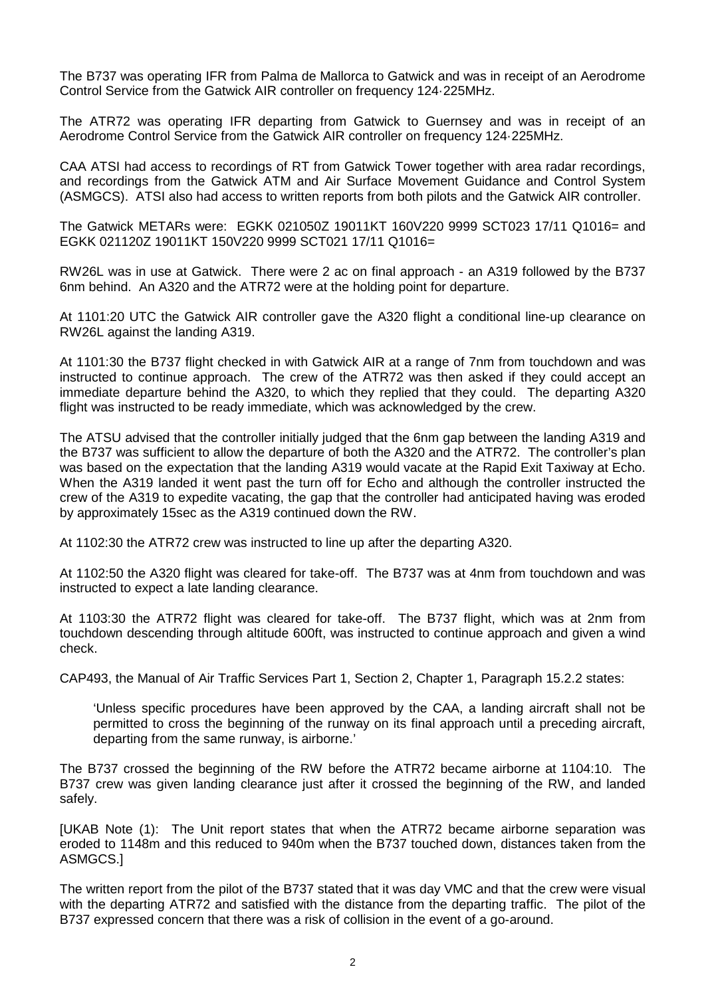The B737 was operating IFR from Palma de Mallorca to Gatwick and was in receipt of an Aerodrome Control Service from the Gatwick AIR controller on frequency 124·225MHz.

The ATR72 was operating IFR departing from Gatwick to Guernsey and was in receipt of an Aerodrome Control Service from the Gatwick AIR controller on frequency 124·225MHz.

CAA ATSI had access to recordings of RT from Gatwick Tower together with area radar recordings, and recordings from the Gatwick ATM and Air Surface Movement Guidance and Control System (ASMGCS). ATSI also had access to written reports from both pilots and the Gatwick AIR controller.

The Gatwick METARs were: EGKK 021050Z 19011KT 160V220 9999 SCT023 17/11 Q1016= and EGKK 021120Z 19011KT 150V220 9999 SCT021 17/11 Q1016=

RW26L was in use at Gatwick. There were 2 ac on final approach - an A319 followed by the B737 6nm behind. An A320 and the ATR72 were at the holding point for departure.

At 1101:20 UTC the Gatwick AIR controller gave the A320 flight a conditional line-up clearance on RW26L against the landing A319.

At 1101:30 the B737 flight checked in with Gatwick AIR at a range of 7nm from touchdown and was instructed to continue approach. The crew of the ATR72 was then asked if they could accept an immediate departure behind the A320, to which they replied that they could. The departing A320 flight was instructed to be ready immediate, which was acknowledged by the crew.

The ATSU advised that the controller initially judged that the 6nm gap between the landing A319 and the B737 was sufficient to allow the departure of both the A320 and the ATR72. The controller's plan was based on the expectation that the landing A319 would vacate at the Rapid Exit Taxiway at Echo. When the A319 landed it went past the turn off for Echo and although the controller instructed the crew of the A319 to expedite vacating, the gap that the controller had anticipated having was eroded by approximately 15sec as the A319 continued down the RW.

At 1102:30 the ATR72 crew was instructed to line up after the departing A320.

At 1102:50 the A320 flight was cleared for take-off. The B737 was at 4nm from touchdown and was instructed to expect a late landing clearance.

At 1103:30 the ATR72 flight was cleared for take-off. The B737 flight, which was at 2nm from touchdown descending through altitude 600ft, was instructed to continue approach and given a wind check.

CAP493, the Manual of Air Traffic Services Part 1, Section 2, Chapter 1, Paragraph 15.2.2 states:

'Unless specific procedures have been approved by the CAA, a landing aircraft shall not be permitted to cross the beginning of the runway on its final approach until a preceding aircraft, departing from the same runway, is airborne.'

The B737 crossed the beginning of the RW before the ATR72 became airborne at 1104:10. The B737 crew was given landing clearance just after it crossed the beginning of the RW, and landed safely.

[UKAB Note (1): The Unit report states that when the ATR72 became airborne separation was eroded to 1148m and this reduced to 940m when the B737 touched down, distances taken from the ASMGCS.]

The written report from the pilot of the B737 stated that it was day VMC and that the crew were visual with the departing ATR72 and satisfied with the distance from the departing traffic. The pilot of the B737 expressed concern that there was a risk of collision in the event of a go-around.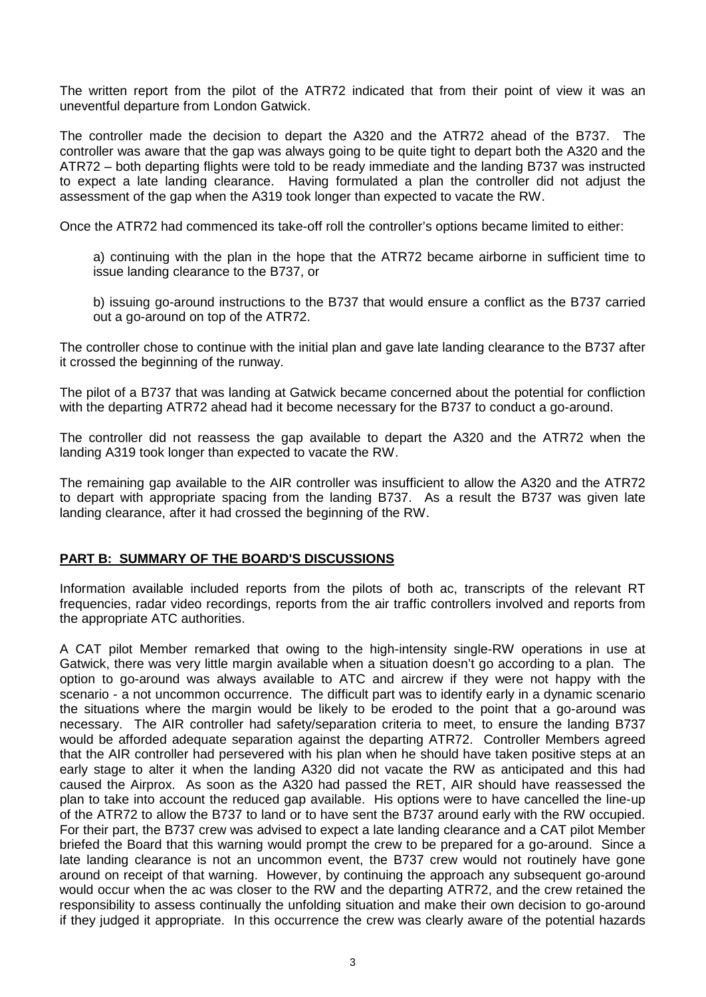The written report from the pilot of the ATR72 indicated that from their point of view it was an uneventful departure from London Gatwick.

The controller made the decision to depart the A320 and the ATR72 ahead of the B737. The controller was aware that the gap was always going to be quite tight to depart both the A320 and the ATR72 – both departing flights were told to be ready immediate and the landing B737 was instructed to expect a late landing clearance. Having formulated a plan the controller did not adjust the assessment of the gap when the A319 took longer than expected to vacate the RW.

Once the ATR72 had commenced its take-off roll the controller's options became limited to either:

a) continuing with the plan in the hope that the ATR72 became airborne in sufficient time to issue landing clearance to the B737, or

b) issuing go-around instructions to the B737 that would ensure a conflict as the B737 carried out a go-around on top of the ATR72.

The controller chose to continue with the initial plan and gave late landing clearance to the B737 after it crossed the beginning of the runway.

The pilot of a B737 that was landing at Gatwick became concerned about the potential for confliction with the departing ATR72 ahead had it become necessary for the B737 to conduct a go-around.

The controller did not reassess the gap available to depart the A320 and the ATR72 when the landing A319 took longer than expected to vacate the RW.

The remaining gap available to the AIR controller was insufficient to allow the A320 and the ATR72 to depart with appropriate spacing from the landing B737. As a result the B737 was given late landing clearance, after it had crossed the beginning of the RW.

## **PART B: SUMMARY OF THE BOARD'S DISCUSSIONS**

Information available included reports from the pilots of both ac, transcripts of the relevant RT frequencies, radar video recordings, reports from the air traffic controllers involved and reports from the appropriate ATC authorities.

A CAT pilot Member remarked that owing to the high-intensity single-RW operations in use at Gatwick, there was very little margin available when a situation doesn't go according to a plan. The option to go-around was always available to ATC and aircrew if they were not happy with the scenario - a not uncommon occurrence. The difficult part was to identify early in a dynamic scenario the situations where the margin would be likely to be eroded to the point that a go-around was necessary. The AIR controller had safety/separation criteria to meet, to ensure the landing B737 would be afforded adequate separation against the departing ATR72. Controller Members agreed that the AIR controller had persevered with his plan when he should have taken positive steps at an early stage to alter it when the landing A320 did not vacate the RW as anticipated and this had caused the Airprox. As soon as the A320 had passed the RET, AIR should have reassessed the plan to take into account the reduced gap available. His options were to have cancelled the line-up of the ATR72 to allow the B737 to land or to have sent the B737 around early with the RW occupied. For their part, the B737 crew was advised to expect a late landing clearance and a CAT pilot Member briefed the Board that this warning would prompt the crew to be prepared for a go-around. Since a late landing clearance is not an uncommon event, the B737 crew would not routinely have gone around on receipt of that warning. However, by continuing the approach any subsequent go-around would occur when the ac was closer to the RW and the departing ATR72, and the crew retained the responsibility to assess continually the unfolding situation and make their own decision to go-around if they judged it appropriate. In this occurrence the crew was clearly aware of the potential hazards